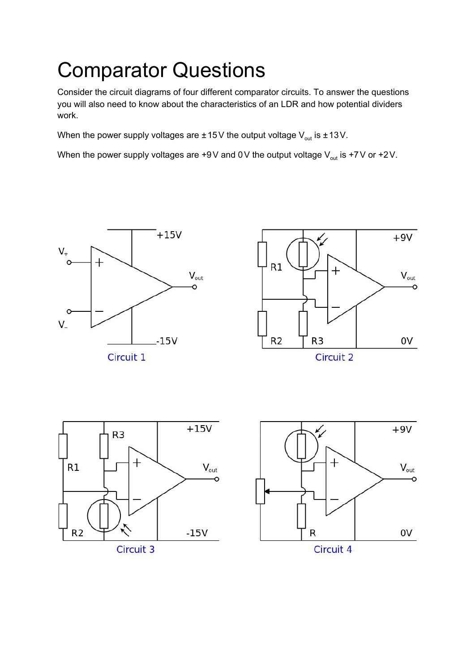# Comparator Questions

Consider the circuit diagrams of four different comparator circuits. To answer the questions you will also need to know about the characteristics of an LDR and how potential dividers work.

When the power supply voltages are  $\pm 15$ V the output voltage V $_{\sf out}$  is  $\pm 13$ V.

When the power supply voltages are +9V and 0V the output voltage V<sub>out</sub> is +7V or +2V.







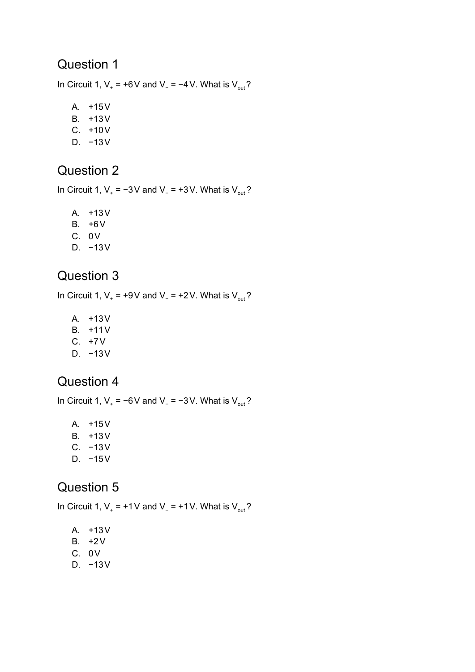In Circuit 1,  $V_+$  = +6V and V<sub>-</sub> = −4V. What is V<sub>out</sub>?

A. +15V B. +13V C. +10V D. −13V

#### Question 2

In Circuit 1,  $V_{+}$  = −3V and V<sub>-</sub> = +3V. What is V<sub>out</sub>?

A. +13V B. +6V

- 
- C. 0V
- D. −13V

#### Question 3

In Circuit 1,  $V_+$  = +9V and V<sub>-</sub> = +2V. What is V<sub>out</sub>?

- A. +13V
- B. +11V
- C. +7V
- D. −13V

#### Question 4

In Circuit 1,  $V_+$  = −6V and V<sub>-</sub> = −3V. What is V<sub>out</sub>?

- A. +15V
- B. +13V
- C. −13V
- D. −15V

#### Question 5

In Circuit 1,  $V_+$  = +1V and V<sub>-</sub> = +1V. What is V<sub>out</sub>?

- A. +13V B. +2V
- C. 0V
- D. −13V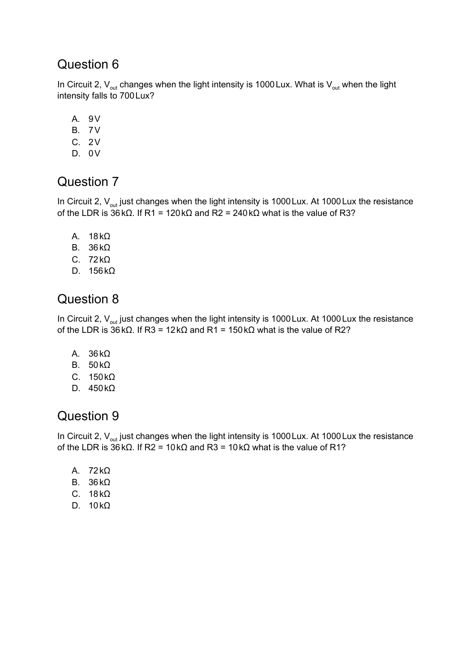In Circuit 2,  $V_{\text{out}}$  changes when the light intensity is 1000 Lux. What is  $V_{\text{out}}$  when the light intensity falls to 700Lux?

- A. 9V
- B. 7V
- C. 2V
- D. 0V

#### Question 7

In Circuit 2,  $V_{\text{out}}$  just changes when the light intensity is 1000 Lux. At 1000 Lux the resistance of the LDR is 36kΩ. If R1 = 120kΩ and R2 = 240kΩ what is the value of R3?

- A. 18kΩ
- B. 36kΩ
- C. 72kΩ
- D. 156kΩ

#### Question 8

In Circuit 2,  $V_{\text{out}}$  just changes when the light intensity is 1000 Lux. At 1000 Lux the resistance of the LDR is 36kΩ. If R3 = 12kΩ and R1 = 150kΩ what is the value of R2?

- A. 36kΩ
- B. 50kΩ
- C. 150kΩ
- D. 450kΩ

#### Question 9

In Circuit 2,  $V_{\text{out}}$  just changes when the light intensity is 1000 Lux. At 1000 Lux the resistance of the LDR is 36kΩ. If R2 = 10kΩ and R3 = 10kΩ what is the value of R1?

- A. 72kΩ
- B. 36kΩ
- C. 18kΩ
- D. 10kΩ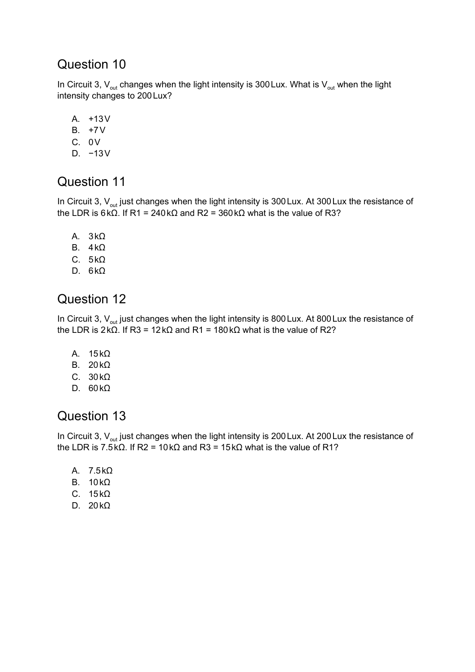In Circuit 3,  $V_{out}$  changes when the light intensity is 300 Lux. What is  $V_{out}$  when the light intensity changes to 200Lux?

A. +13V B. +7V C. 0V D. −13V

#### Question 11

In Circuit 3,  $V_{\text{out}}$  just changes when the light intensity is 300 Lux. At 300 Lux the resistance of the LDR is 6kΩ. If R1 = 240kΩ and R2 = 360kΩ what is the value of R3?

- A. 3kΩ
- B. 4kΩ
- C. 5kΩ
- D. 6kΩ

#### Question 12

In Circuit 3,  $\mathsf{V}_{\mathsf{out}}$  just changes when the light intensity is 800 Lux. At 800 Lux the resistance of the LDR is 2kΩ. If R3 = 12kΩ and R1 = 180kΩ what is the value of R2?

- A. 15kΩ
- B. 20kΩ
- C. 30kΩ
- D. 60kΩ

#### Question 13

In Circuit 3,  $\mathsf{V}_{\mathsf{out}}$  just changes when the light intensity is 200 Lux. At 200 Lux the resistance of the LDR is 7.5kΩ. If R2 = 10kΩ and R3 = 15kΩ what is the value of R1?

- A. 7.5kΩ B. 10kΩ
- C. 15kΩ
- D. 20kΩ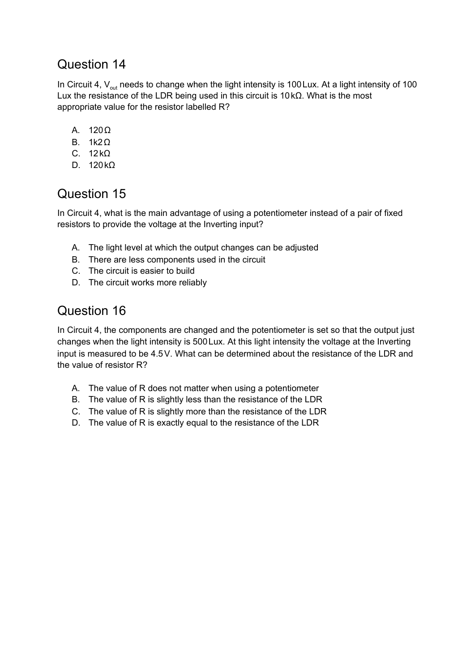In Circuit 4,  $V_{\text{out}}$  needs to change when the light intensity is 100 Lux. At a light intensity of 100 Lux the resistance of the LDR being used in this circuit is 10kΩ. What is the most appropriate value for the resistor labelled R?

- A. 120Ω
- B. 1k2Ω
- C. 12kΩ
- D. 120kΩ

#### Question 15

In Circuit 4, what is the main advantage of using a potentiometer instead of a pair of fixed resistors to provide the voltage at the Inverting input?

- A. The light level at which the output changes can be adjusted
- B. There are less components used in the circuit
- C. The circuit is easier to build
- D. The circuit works more reliably

### Question 16

In Circuit 4, the components are changed and the potentiometer is set so that the output just changes when the light intensity is 500Lux. At this light intensity the voltage at the Inverting input is measured to be 4.5V. What can be determined about the resistance of the LDR and the value of resistor R?

- A. The value of R does not matter when using a potentiometer
- B. The value of R is slightly less than the resistance of the LDR
- C. The value of R is slightly more than the resistance of the LDR
- D. The value of R is exactly equal to the resistance of the LDR